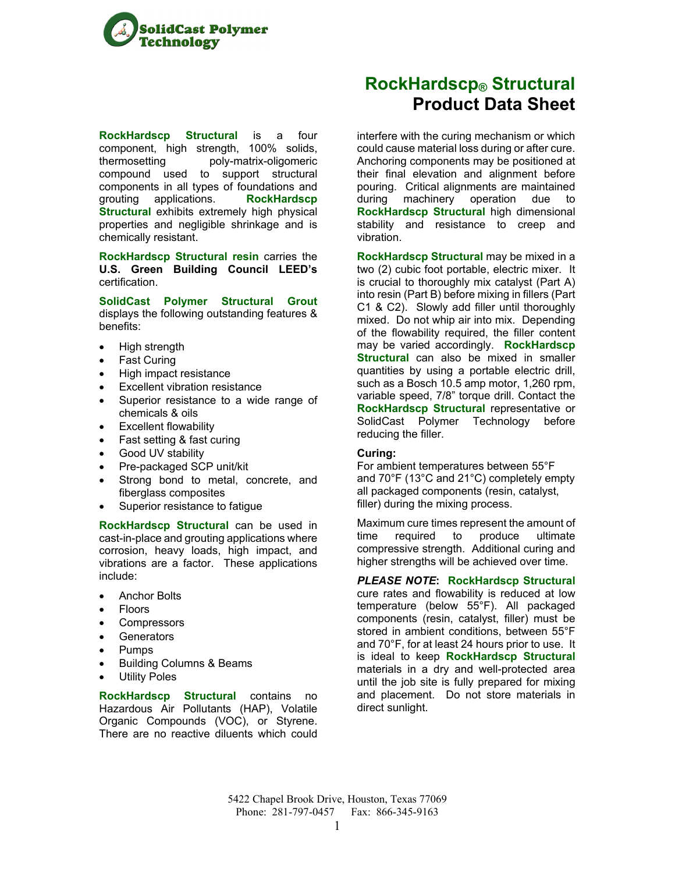

**RockHardscp Structural** is a four component, high strength, 100% solids, thermosetting poly-matrix-oligomeric compound used to support structural components in all types of foundations and grouting applications. **RockHardscp Structural** exhibits extremely high physical properties and negligible shrinkage and is chemically resistant.

**RockHardscp Structural resin** carries the **U.S. Green Building Council LEED's** certification.

**SolidCast Polymer Structural Grout** displays the following outstanding features & benefits:

- High strength
- Fast Curing
- High impact resistance
- Excellent vibration resistance
- Superior resistance to a wide range of chemicals & oils
- Excellent flowability
- Fast setting & fast curing
- Good UV stability
- Pre-packaged SCP unit/kit
- Strong bond to metal, concrete, and fiberglass composites
- Superior resistance to fatigue

**RockHardscp Structural** can be used in cast-in-place and grouting applications where corrosion, heavy loads, high impact, and vibrations are a factor. These applications include:

- Anchor Bolts
- Floors
- **Compressors**
- **Generators**
- Pumps
- Building Columns & Beams
- Utility Poles

**RockHardscp Structural** contains no Hazardous Air Pollutants (HAP), Volatile Organic Compounds (VOC), or Styrene. There are no reactive diluents which could

# **RockHardscp® Structural Product Data Sheet**

interfere with the curing mechanism or which could cause material loss during or after cure. Anchoring components may be positioned at their final elevation and alignment before pouring. Critical alignments are maintained during machinery operation due to **RockHardscp Structural** high dimensional stability and resistance to creep and vibration.

**RockHardscp Structural** may be mixed in a two (2) cubic foot portable, electric mixer. It is crucial to thoroughly mix catalyst (Part A) into resin (Part B) before mixing in fillers (Part C1 & C2). Slowly add filler until thoroughly mixed. Do not whip air into mix. Depending of the flowability required, the filler content may be varied accordingly. **RockHardscp Structural** can also be mixed in smaller quantities by using a portable electric drill, such as a Bosch 10.5 amp motor, 1,260 rpm, variable speed, 7/8" torque drill. Contact the **RockHardscp Structural** representative or SolidCast Polymer Technology before reducing the filler.

## **Curing:**

For ambient temperatures between 55°F and 70°F (13°C and 21°C) completely empty all packaged components (resin, catalyst, filler) during the mixing process.

Maximum cure times represent the amount of time required to produce ultimate compressive strength. Additional curing and higher strengths will be achieved over time.

*PLEASE NOTE***: RockHardscp Structural** cure rates and flowability is reduced at low temperature (below 55°F). All packaged components (resin, catalyst, filler) must be stored in ambient conditions, between 55°F and 70°F, for at least 24 hours prior to use. It is ideal to keep **RockHardscp Structural**  materials in a dry and well-protected area until the job site is fully prepared for mixing and placement. Do not store materials in direct sunlight.

5422 Chapel Brook Drive, Houston, Texas 77069 Phone: 281-797-0457 Fax: 866-345-9163